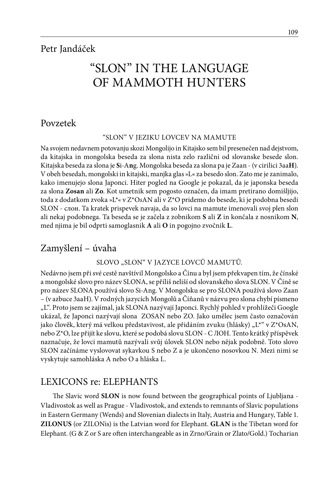# "SLON" IN THE LANGUAGE OF MAMMOTH HUNTERS

## Povzetek

#### "SLON" V JEZIKU LOVCEV NA MAMUTE

Na svojem nedavnem potovanju skozi Mongolijo in Kitajsko sem bil presenečen nad dejstvom, da kitajska in mongolska beseda za slona nista zelo različni od slovanske besede slon. Kitajska beseda za slona je **S**i-A**n**g. Mongolska beseda za slona pa je Zaan - (v cirilici 3aa**H**). V obeh besedah, mongolski in kitajski, manjka glas »L« za besedo slon. Zato me je zanimalo, kako imenujejo slona Japonci. Hiter pogled na Google je pokazal, da je japonska beseda za slona **Zosan** ali **Zo**. Kot umetnik sem pogosto označen, da imam pretirano domišljijo, toda z dodatkom zvoka »L\*« v Z\*O*s*AN ali v Z\*O pridemo do besede, ki je podobna besedi SLON - слон. Ta kratek prispevek navaja, da so lovci na mamute imenovali svoj plen slon ali nekaj podobnega. Ta beseda se je začela z zobnikom **S** ali **Z** in končala z nosnikom **N**, med njima je bil odprti samoglasnik **A** ali **O** in pogojno zvočnik **L**.

# Zamyšlení – úvaha

#### SLOVO "SLON" V JAZYCE LOVCŮ MAMUTŮ.

Nedávno jsem při své cestě navštívil Mongolsko a Čínu a byl jsem překvapen tím, že čínské a mongolské slovo pro název SLONA, se příliš neliší od slovanského slova SLON. V Číně se pro název SLONA používá slovo Si-Ang. V Mongolsku se pro SLONA používá slovo Zaan – (v azbuce 3aaH). V rodných jazycích Mongolů a Číňanů v názvu pro slona chybí písmeno "L". Proto jsem se zajímal, jak SLONA nazývají Japonci. Rychlý pohled v prohlížeči Google ukázal, že Japonci nazývají slona ZOSAN nebo ZO. Jako umělec jsem často označován jako člověk, který má velkou představivost, ale přidáním zvuku (hlásky) " $L^{**}$  v  $Z^*OsAN$ , nebo Z\*O, lze přijít ke slovu, které se podobá slovu SLON - C ЛOН. Tento krátký příspěvek naznačuje, že lovci mamutů nazývali svůj úlovek SLON nebo nějak podobně. Toto slovo SLON začínáme vyslovovat sykavkou S nebo Z a je ukončeno nosovkou N. Mezi nimi se vyskytuje samohláska A nebo O a hláska L.

# LEXICONS re: ELEPHANTS

The Slavic word **SLON** is now found between the geographical points of Ljubljana - Vladivostok as well as Prague - Vladivostok, and extends to remnants of Slavic populations in Eastern Germany (Wends) and Slovenian dialects in Italy, Austria and Hungary, Table 1. **ZILONUS** (or ZILONis) is the Latvian word for Elephant. **GLAN** is the Tibetan word for Elephant. (G & Z or S are often interchangeable as in Zrno/Grain or Zlato/Gold.) Tocharian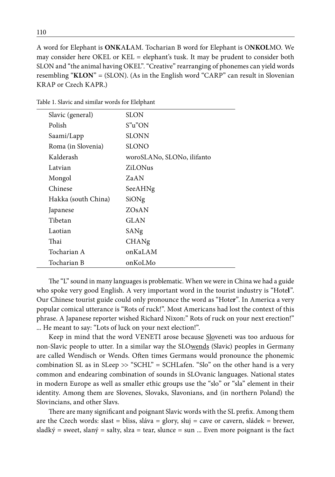A word for Elephant is **ONK**A**L**AM. Tocharian B word for Elephant is O**NKOL**MO. We may consider here OKEL or KEL = elephant's tusk. It may be prudent to consider both SLON and "the animal having OKEL". "Creative" rearranging of phonemes can yield words resembling "**KLON**" = (SLON). (As in the English word "CARP" can result in Slovenian KRAP or Czech KAPR.)

| <b>SLON</b><br>Slavic (general)<br>S"u"ON<br>Polish<br>SLONN<br>Saami/Lapp<br><b>SLONO</b><br>Roma (in Slovenia)<br>Kalderash<br>woroSLANo, SLONo, ilifanto<br>ZiLONus<br>Latvian<br>ZaAN<br>Mongol<br>Chinese<br>SeeAHNg<br>Hakka (south China)<br>SiONg<br>ZOsAN<br>Japanese<br>Tibetan<br>GLAN<br>Laotian<br>SANg<br>Thai<br>CHANg<br>Tocharian A<br>onKaLAM<br>Tocharian B<br>onKoLMo |  |  |
|-------------------------------------------------------------------------------------------------------------------------------------------------------------------------------------------------------------------------------------------------------------------------------------------------------------------------------------------------------------------------------------------|--|--|
|                                                                                                                                                                                                                                                                                                                                                                                           |  |  |
|                                                                                                                                                                                                                                                                                                                                                                                           |  |  |
|                                                                                                                                                                                                                                                                                                                                                                                           |  |  |
|                                                                                                                                                                                                                                                                                                                                                                                           |  |  |
|                                                                                                                                                                                                                                                                                                                                                                                           |  |  |
|                                                                                                                                                                                                                                                                                                                                                                                           |  |  |
|                                                                                                                                                                                                                                                                                                                                                                                           |  |  |
|                                                                                                                                                                                                                                                                                                                                                                                           |  |  |
|                                                                                                                                                                                                                                                                                                                                                                                           |  |  |
|                                                                                                                                                                                                                                                                                                                                                                                           |  |  |
|                                                                                                                                                                                                                                                                                                                                                                                           |  |  |
|                                                                                                                                                                                                                                                                                                                                                                                           |  |  |
|                                                                                                                                                                                                                                                                                                                                                                                           |  |  |
|                                                                                                                                                                                                                                                                                                                                                                                           |  |  |
|                                                                                                                                                                                                                                                                                                                                                                                           |  |  |

Table 1. Slavic and similar words for Elelphant

The "L" sound in many languages is problematic. When we were in China we had a guide who spoke very good English. A very important word in the tourist industry is "Hote**l**". Our Chinese tourist guide could only pronounce the word as "Hote**r**". In America a very popular comical utterance is "Rots of ruck!". Most Americans had lost the context of this phrase. A Japanese reporter wished Richard Nixon:" Rots of ruck on your next erection!" ... He meant to say: "Lots of luck on your next election!".

Keep in mind that the word VENETI arose because Sloveneti was too arduous for non-Slavic people to utter. In a similar way the SLOwends (Slavic) peoples in Germany are called Wendisch or Wends. Often times Germans would pronounce the phonemic combination SL as in SLeep  $\gg$  "SCHL" = SCHLafen. "Slo" on the other hand is a very common and endearing combination of sounds in SLOvanic languages. National states in modern Europe as well as smaller ethic groups use the "slo" or "sla" element in their identity. Among them are Slovenes, Slovaks, Slavonians, and (in northern Poland) the Slovincians, and other Slavs.

There are many significant and poignant Slavic words with the SL prefix. Among them are the Czech words: slast = bliss, sláva = glory, sluj = cave or cavern, sládek = brewer, sladký = sweet, slaný = salty, slza = tear, slunce = sun ... Even more poignant is the fact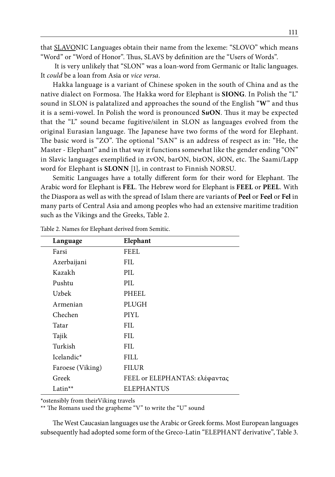that SLAVONIC Languages obtain their name from the lexeme: "SLOVO" which means "Word" or "Word of Honor". Thus, SLAVS by definition are the "Users of Words".

 It is very unlikely that "SLON" was a loan-word from Germanic or Italic languages. It *could* be a loan from Asia or *vice versa*.

Hakka language is a variant of Chinese spoken in the south of China and as the native dialect on Formosa. The Hakka word for Elephant is **SIONG**. In Polish the "L" sound in SLON is palatalized and approaches the sound of the English "**W**" and thus it is a semi-vowel. In Polish the word is pronounced **S***u***ON**. Thus it may be expected that the "L" sound became fugitive/silent in SLON as languages evolved from the original Eurasian language. The Japanese have two forms of the word for Elephant. The basic word is "ZO". The optional "SAN" is an address of respect as in: "He, the Master - Elephant" and in that way it functions somewhat like the gender ending "ON" in Slavic languages exemplified in zvON, barON, bizON, slON, etc. The Saami/Lapp word for Elephant is **SLONN** [1], in contrast to Finnish NORSU.

Semitic Languages have a totally different form for their word for Elephant. The Arabic word for Elephant is **FEL**. The Hebrew word for Elephant is **FEEL** or **PEEL**. With the Diaspora as well as with the spread of Islam there are variants of **Peel** or **Feel** or **Fel** in many parts of Central Asia and among peoples who had an extensive maritime tradition such as the Vikings and the Greeks, Table 2.

| Language               | Elephant                      |
|------------------------|-------------------------------|
| Farsi                  | FEEL                          |
| Azerbaijani            | FIL.                          |
| Kazakh                 | PIL.                          |
| Pushtu                 | PIL.                          |
| Uzbek                  | PHEEL                         |
| Armenian               | PLUGH                         |
| Chechen                | PIYL                          |
| Tatar                  | FH.                           |
| Tajik                  | FIL.                          |
| Turkish                | FH.                           |
| Icelandic <sup>*</sup> | FILL                          |
| Faroese (Viking)       | <b>FILUR</b>                  |
| Greek                  | FEEL or ELEPHANTAS: ελέφαντας |
| Latin <sup>**</sup>    | <b>ELEPHANTUS</b>             |

Table 2. Names for Elephant derived from Semitic.

\*ostensibly from theirViking travels

\*\* The Romans used the grapheme "V" to write the "U" sound

The West Caucasian languages use the Arabic or Greek forms. Most European languages subsequently had adopted some form of the Greco-Latin "ELEPHANT derivative", Table 3.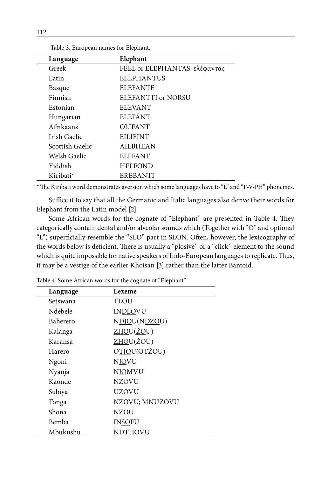| Language        | Elephant                      |
|-----------------|-------------------------------|
| Greek           | FEEL or ELEPHANTAS: ελέφαντας |
| Latin           | <b>ELEPHANTUS</b>             |
| Basque          | <b>ELEFANTE</b>               |
| Finnish         | ELEFANTTI or NORSU            |
| Estonian        | <b>ELEVANT</b>                |
| Hungarian       | <b>ELEFÁNT</b>                |
| Afrikaans       | <b>OLIFANT</b>                |
| Irish Gaelic    | <b>EILIFINT</b>               |
| Scottish Gaelic | <b>AILBHEAN</b>               |
| Welsh Gaelic    | <b>ELFFANT</b>                |
| Yiddish         | <b>HELFOND</b>                |
| Kiribati*       | <b>EREBANTI</b>               |

Table 3. European names for Elephant.

\* The Kiribati word demonstrates aversion which some languages have to "L" and "F-V-PH" phonemes.

Suffice it to say that all the Germanic and Italic languages also derive their words for Elephant from the Latin model [2].

Some African words for the cognate of "Elephant" are presented in Table 4. They categorically contain dental and/or alveolar sounds which (Together with "O" and optional "L") superficially resemble the "SLO" part in SLON. Often, however, the lexicography of the words below is deficient. There is usually a "plosive" or a "click" element to the sound which is quite impossible for native speakers of Indo-European languages to replicate. Thus, it may be a vestige of the earlier Khoisan [3] rather than the latter Bantoid.

| Language | Lexeme         |
|----------|----------------|
| Setswana | <b>TLOU</b>    |
| Ndebele  | <b>INDLOVU</b> |
| Baherero | NDIOU(NDŽOU)   |
| Kalanga  | ZHOU(ŽOU)      |
| Karansa  | ZHOU(ŽOU)      |
| Harero   | OTJOU(OTŽOU)   |
| Ngoni    | <b>NJOVU</b>   |
| Nyanja   | <b>NIOMVU</b>  |
| Kaonde   | <b>NZOVU</b>   |
| Subiya   | <b>UZOVU</b>   |
| Tonga    | NZOVU; MNUZOVU |
| Shona    | <b>NZOU</b>    |
| Bemba    | <b>INSOFU</b>  |
| Mbukushu | <b>NDTHOVU</b> |

Table 4. Some African words for the cognate of "Elephant"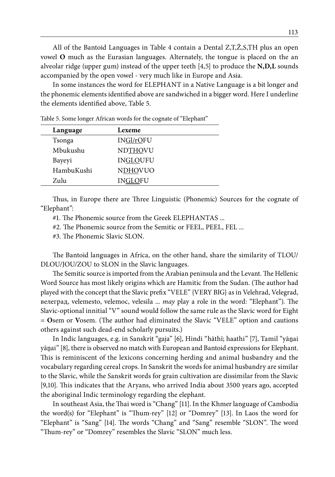All of the Bantoid Languages in Table 4 contain a Dental Z,T,Ž,S,TH plus an open vowel **O** much as the Eurasian languages. Alternately, the tongue is placed on the an alveolar ridge (upper gum) instead of the upper teeth [4,5] to produce the **N,D,L** sounds accompanied by the open vowel - very much like in Europe and Asia.

In some instances the word for ELEPHANT in a Native Language is a bit longer and the phonemic elements identified above are sandwiched in a bigger word. Here I underline the elements identified above, Table 5.

| Language   | Lexeme          |
|------------|-----------------|
| Tsonga     | INGl/rOFU       |
| Mbukushu   | NDTHOVU         |
| Bayeyi     | <b>INGLOUFU</b> |
| HambuKushi | <b>NDHOVUO</b>  |
| Zulu       | INGLOFU         |

Table 5. Some longer African words for the cognate of "Elephant"

Thus, in Europe there are Three Linguistic (Phonemic) Sources for the cognate of "Elephant":

#1. The Phonemic source from the Greek ELEPHANTAS ...

#2. The Phonemic source from the Semitic or FEEL, PEEL, FEL ...

#3. The Phonemic Slavic SLON.

The Bantoid languages in Africa, on the other hand, share the similarity of TLOU/ DLOU/JOU/ZOU to SLON in the Slavic languages.

The Semitic source is imported from the Arabian peninsula and the Levant. The Hellenic Word Source has most likely origins which are Hamitic from the Sudan. (The author had played with the concept that the Slavic prefix "VELE" {VERY BIG} as in Velehrad, Velegrad, велеград, velemesto, velemoc, velesila ... *may* play a role in the word: "Elephant"). The Slavic-optional innitial "V" sound would follow the same rule as the Slavic word for Eight = **O**sem or **V**osem. (The author had eliminated the Slavic "VELE" option and cautions others against such dead-end scholarly pursuits.)

In Indic languages, e.g. in Sanskrit "gaja" [6], Hindi "hāthī; haathi" [7], Tamil "yāṉai yāṉai" [8], there is observed no match with European and Bantoid expressions for Elephant. This is reminiscent of the lexicons concerning herding and animal husbandry and the vocabulary regarding cereal crops. In Sanskrit the words for animal husbandry are similar to the Slavic, while the Sanskrit words for grain cultivation are dissimilar from the Slavic [9,10]. This indicates that the Aryans, who arrived India about 3500 years ago, accepted the aboriginal Indic terminology regarding the elephant.

In southeast Asia, the Thai word is "Chang" [11]. In the Khmer language of Cambodia the word(s) for "Elephant" is "Thum-rey" [12] or "Domrey" [13]. In Laos the word for "Elephant" is "Sang" [14]. The words "Chang" and "Sang" resemble "SLON". The word "Thum-rey" or "Domrey" resembles the Slavic "SLON" much less.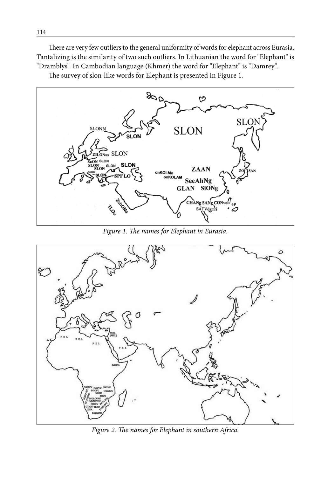There are very few outliers to the general uniformity of words for elephant across Eurasia. Tantalizing is the similarity of two such outliers. In Lithuanian the word for "Elephant" is "Dramblys". In Cambodian language (Khmer) the word for "Elephant" is "Damrey".

The survey of slon-like words for Elephant is presented in Figure 1.



*Figure 1. The names for Elephant in Eurasia.*



*Figure 2. The names for Elephant in southern Africa.*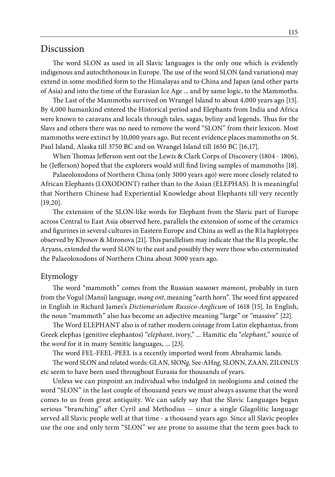#### Discussion

The word SLON as used in all Slavic languages is the only one which is evidently indigenous and autochthonous in Europe. The use of the word SLON **(**and variations**)** may extend in some modified form to the Himalayas and to China and Japan (and other parts of Asia) and into the time of the Eurasian Ice Age ... and by same logic, to the Mammoths.

The Last of the Mammoths survived on Wrangel Island to about 4,000 years ago [15]. By 4,000 humankind entered the Historical period and Elephants from India and Africa were known to caravans and locals through tales, sagas, byliny and legends. Thus for the Slavs and others there was no need to remove the word "SLON" from their lexicon. Most mammoths were extinct by 10,000 years ago. But recent evidence places mammoths on St. Paul Island, Alaska till 3750 BC and on Wrangel Island till 1650 BC [16,17].

When Thomas Jefferson sent out the Lewis & Clark Corps of Discovery (1804 - 1806), he (Jefferson) hoped that the explorers would still find living samples of mammoths [18].

Palaeoloxodons of Northern China (only 3000 years ago) were more closely related to African Elephants (LOXODONT) rather than to the Asian (ELEPHAS). It is meaningful that Northern Chinese had Experiential Knowledge about Elephants till very recently [19,20].

The extension of the SLON-like words for Elephant from the Slavic part of Europe across Central to East Asia observed here, parallels the extension of some of the ceramics and figurines in several cultures in Eastern Europe and China as well as the R1a haplotypes observed by Klyosov & Mironova [21]. This parallelism may indicate that the R1a people, the Aryans, extended the word SLON to the east and possibly they were those who exterminated the Palaeoloxodons of Northern China about 3000 years ago.

#### Etymology

The word "mammoth" comes from the Russian мамонт *mamont*, probably in turn from the Vogul (Mansi) language, *mang ont*, meaning "earth horn". The word first appeared in English in Richard James's *Dictionariolum Russico-Anglicum* of 1618 [15]. In English, the noun "mammoth" also has become an adjective meaning "large" or "massive" [22].

The Word ELEPHANT also is of rather modern coinage from Latin elephantus, from Greek elephas (genitive elephantos) "*elephant*, ivory," ... Hamitic elu "*elephant*," source of the *word* for it in many Semitic languages, ... [23].

The word FEL-FEEL-PEEL is a recently imported word from Abrahamic lands.

The word SLON and related words: GLAN, SION*g*, See-AHn*g*, SLONN, ZAAN, ZILON*US* etc seem to have been used throughout Eurasia for thousands of years.

Unless we can pinpoint an individual who indulged in neologisms and coined the word "SLON" in the last couple of thousand years we must always assume that the word comes to us from great antiquity. We can safely say that the Slavic Languages began serious "branching" after Cyril and Methodius -- since a single Glagolitic language served all Slavic people well at that time - a thousand years ago. Since all Slavic peoples use the one and only term "SLON" we are prone to assume that the term goes back to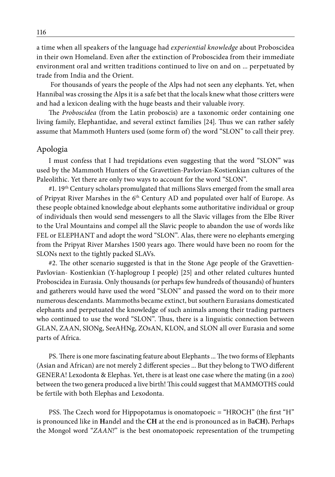a time when all speakers of the language had *experiential knowledge* about Proboscidea in their own Homeland. Even after the extinction of Proboscidea from their immediate environment oral and written traditions continued to live on and on ... perpetuated by trade from India and the Orient.

 For thousands of years the people of the Alps had not seen any elephants. Yet, when Hannibal was crossing the Alps it is a safe bet that the locals knew what those critters were and had a lexicon dealing with the huge beasts and their valuable ivory.

The *Proboscidea* (from the Latin proboscis) are a taxonomic order containing one living family, Elephantidae, and several extinct families [24]. Thus we can rather safely assume that Mammoth Hunters used (some form of) the word "SLON" to call their prey.

#### Apologia

I must confess that I had trepidations even suggesting that the word "SLON" was used by the Mammoth Hunters of the Gravettien-Pavlovian-Kostienkian cultures of the Paleolithic. Yet there are only two ways to account for the word "SLON".

#1. 19<sup>th</sup> Century scholars promulgated that millions Slavs emerged from the small area of Pripyat River Marshes in the 6th Century AD and populated over half of Europe. As these people obtained knowledge about elephants some authoritative individual or group of individuals then would send messengers to all the Slavic villages from the Elbe River to the Ural Mountains and compel all the Slavic people to abandon the use of words like FEL or ELEPHANT and adopt the word "SLON". Alas, there were no elephants emerging from the Pripyat River Marshes 1500 years ago. There would have been no room for the SLONs next to the tightly packed SLAVs.

#2. The other scenario suggested is that in the Stone Age people of the Gravettien-Pavlovian- Kostienkian (Y-haplogroup I people) [25] and other related cultures hunted Proboscidea in Eurasia. Only thousands (or perhaps few hundreds of thousands) of hunters and gatherers would have used the word "SLON" and passed the word on to their more numerous descendants. Mammoths became extinct, but southern Eurasians domesticated elephants and perpetuated the knowledge of such animals among their trading partners who continued to use the word "SLON". Thus, there is a linguistic connection between GLAN, ZAAN, SIONg, SeeAHNg, ZOsAN, KLON, and SLON all over Eurasia and some parts of Africa.

PS. There is one more fascinating feature about Elephants ... The two forms of Elephants (Asian and African) are not merely 2 different species ... But they belong to TWO different GENERA! Lexodonta & Elephas. Yet, there is at least one case where the mating (in a zoo) between the two genera produced a live birth! This could suggest that MAMMOTHS could be fertile with both Elephas and Lexodonta.

PSS. The Czech word for Hippopotamus is onomatopoeic = "HROCH" (the first "H" is pronounced like in **H**andel and the **CH** at the end is pronounced as in Ba**CH).** Perhaps the Mongol word "*ZAAN!*" is the best onomatopoeic representation of the trumpeting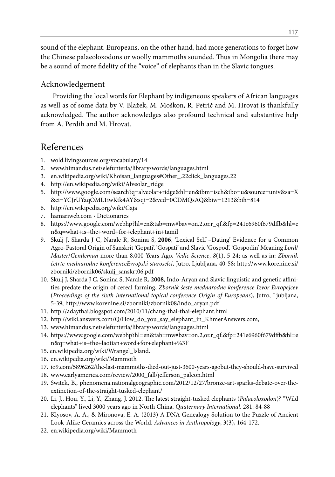sound of the elephant. Europeans, on the other hand, had more generations to forget how the Chinese palaeoloxodons or woolly mammoths sounded. Thus in Mongolia there may be a sound of more fidelity of the "voice" of elephants than in the Slavic tongues.

### Acknowledgement

Providing the local words for Elephant by indigeneous speakers of African languages as well as of some data by V. Blažek, M. Moškon, R. Petrič and M. Hrovat is thankfully acknowledged. The author acknowledges also profound technical and substantive help from A. Perdih and M. Hrovat.

# References

- 1. wold.livingsources.org/vocabulary/14
- 2. www.himandus.net/elefunteria/library/words/languages.html
- 3. en.wikipedia.org/wiki/Khoisan\_languages#Other\_.22click\_languages.22
- 4. http://en.wikipedia.org/wiki/Alveolar\_ridge
- 5. http://www.google.com/search?q=alveolar+ridge&hl=en&tbm=isch&tbo=u&source=univ&sa=X &ei=YCJrUYaqOML1iwKtk4AY&sqi=2&ved=0CDMQsAQ&biw=1213&bih=814
- 6. http://en.wikipedia.org/wiki/Gaja
- 7. hamariweb.com › Dictionaries
- 8. https://www.google.com/webhp?hl=en&tab=mw#bav=on.2,or.r\_qf.&fp=241e6960f679dffb&hl=e n&q=what+is+the+word+for+elephant+in+tamil
- 9. Skulj J, Sharda J C, Narale R, Sonina S, **2006**, 'Lexical Self –Dating' Evidence for a Common Agro-Pastoral Origin of Sanskrit 'Gopati', 'Gospati' and Slavic 'Gospod', 'Gospodin' Meaning *Lord*/ *Master*/*Gentleman* more than 8,000 Years Ago, *Vedic Science*, *8*(1), 5-24; as well as in: *Zbornik četrte mednarodne konferenceEvropski staroselci*, Jutro, Ljubljana, 40-58; http://www.korenine.si/ zborniki/zbornik06/skulj\_sanskrt06.pdf
- 10. Skulj J, Sharda J C, Sonina S, Narale R, **2008**, Indo-Aryan and Slavic linguistic and genetic affinities predate the origin of cereal farming, *Zbornik šeste mednarodne konference Izvor Evropejcev* (*Proceedings of the sixth international topical conference Origin of Europeans*), Jutro, Ljubljana, 5-39; http://www.korenine.si/zborniki/zbornik08/indo\_aryan.pdf
- 11. http://adaythai.blogspot.com/2010/11/chang-thai-thai-elephant.html
- 12. http://wiki.answers.com/Q/How\_do\_you\_say\_elephant\_in\_KhmerAnswers.com,
- 13. www.himandus.net/elefunteria/library/words/languages.html
- 14. https://www.google.com/webhp?hl=en&tab=mw#bav=on.2,or.r\_qf.&fp=241e6960f679dffb&hl=e n&q=what+is+the+laotian+word+for+elephant+%3F
- 15. en.wikipedia.org/wiki/Wrangel\_Island.
- 16. en.wikipedia.org/wiki/Mammoth
- 17. io9.com/5896262/the-last-mammoths-died-out-just-3600-years-agobut-they-should-have-survived
- 18. www.earlyamerica.com/review/2000\_fall/jefferson\_paleon.html
- 19. Switek, B., phenomena.nationalgeographic.com/2012/12/27/bronze-art-sparks-debate-over-theextinction-of-the-straight-tusked-elephant/
- 20. Li, J., Hou, Y., Li, Y., Zhang, J. 2012. The latest straight-tusked elephants (*Palaeoloxodon*)? "Wild elephants" lived 3000 years ago in North China. *Quaternary International*. 281: 84-88
- 21. Klyosov, A. A., & Mironova, E. A. (2013) A DNA Genealogy Solution to the Puzzle of Ancient Look-Alike Ceramics across the World. *Advances in Anthropology*, 3(3), 164-172.
- 22. en.wikipedia.org/wiki/Mammoth